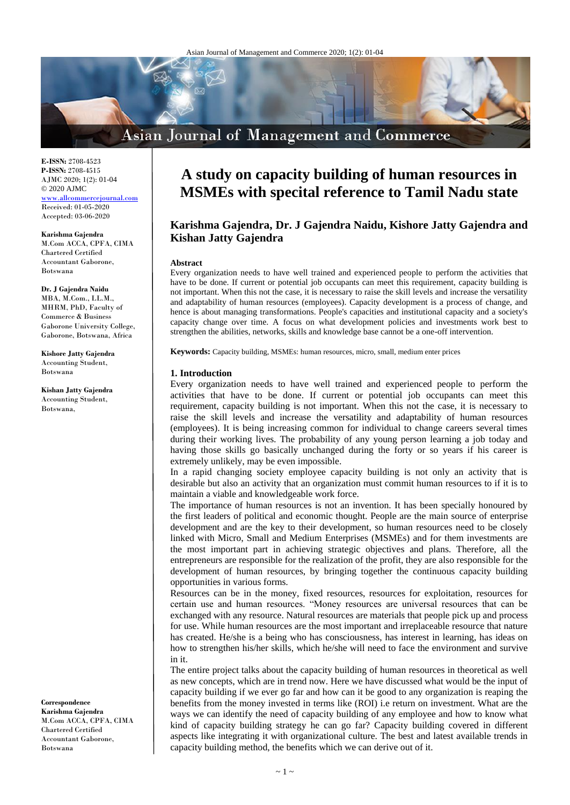# **Asian Journal of Management and Commerce**

**E-ISSN:** 2708-4523 **P-ISSN:** 2708-4515 AJMC 2020; 1(2): 01-04  $@ 2020$  AJMC <www.allcommercejournal.com> Received: 01-05-2020 Accepted: 03-06-2020

**Karishma Gajendra** M.Com ACCA, CPFA, CIMA Chartered Certified Accountant Gaborone, Botswana

**Dr. J Gajendra Naidu** MBA, M.Com., LL.M., MHRM, PhD, Faculty of Commerce & Business Gaborone University College, Gaborone, Botswana, Africa

**Kishore Jatty Gajendra** Accounting Student, Botswana

**Kishan Jatty Gajendra** Accounting Student, Botswana,

**Correspondence**

**Karishma Gajendra** M.Com ACCA, CPFA, CIMA Chartered Certified Accountant Gaborone, Botswana

# **A study on capacity building of human resources in MSMEs with specital reference to Tamil Nadu state**

# **Karishma Gajendra, Dr. J Gajendra Naidu, Kishore Jatty Gajendra and Kishan Jatty Gajendra**

#### **Abstract**

Every organization needs to have well trained and experienced people to perform the activities that have to be done. If current or potential job occupants can meet this requirement, capacity building is not important. When this not the case, it is necessary to raise the skill levels and increase the versatility and adaptability of human resources (employees). Capacity development is a process of change, and hence is about managing transformations. People's capacities and institutional capacity and a society's capacity change over time. A focus on what development policies and investments work best to strengthen the abilities, networks, skills and knowledge base cannot be a one-off intervention.

**Keywords:** Capacity building, MSMEs: human resources, micro, small, medium enter prices

### **1. Introduction**

Every organization needs to have well trained and experienced people to perform the activities that have to be done. If current or potential job occupants can meet this requirement, capacity building is not important. When this not the case, it is necessary to raise the skill levels and increase the versatility and adaptability of human resources (employees). It is being increasing common for individual to change careers several times during their working lives. The probability of any young person learning a job today and having those skills go basically unchanged during the forty or so years if his career is extremely unlikely, may be even impossible.

In a rapid changing society employee capacity building is not only an activity that is desirable but also an activity that an organization must commit human resources to if it is to maintain a viable and knowledgeable work force.

The importance of human resources is not an invention. It has been specially honoured by the first leaders of political and economic thought. People are the main source of enterprise development and are the key to their development, so human resources need to be closely linked with Micro, Small and Medium Enterprises (MSMEs) and for them investments are the most important part in achieving strategic objectives and plans. Therefore, all the entrepreneurs are responsible for the realization of the profit, they are also responsible for the development of human resources, by bringing together the continuous capacity building opportunities in various forms.

Resources can be in the money, fixed resources, resources for exploitation, resources for certain use and human resources. "Money resources are universal resources that can be exchanged with any resource. Natural resources are materials that people pick up and process for use. While human resources are the most important and irreplaceable resource that nature has created. He/she is a being who has consciousness, has interest in learning, has ideas on how to strengthen his/her skills, which he/she will need to face the environment and survive in it.

The entire project talks about the capacity building of human resources in theoretical as well as new concepts, which are in trend now. Here we have discussed what would be the input of capacity building if we ever go far and how can it be good to any organization is reaping the benefits from the money invested in terms like (ROI) i.e return on investment. What are the ways we can identify the need of capacity building of any employee and how to know what kind of capacity building strategy he can go far? Capacity building covered in different aspects like integrating it with organizational culture. The best and latest available trends in capacity building method, the benefits which we can derive out of it.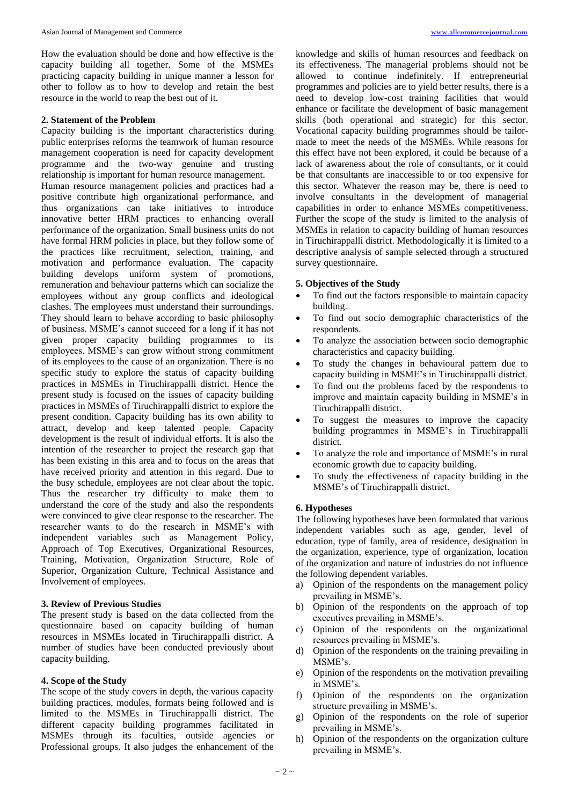How the evaluation should be done and how effective is the capacity building all together. Some of the MSMEs practicing capacity building in unique manner a lesson for other to follow as to how to develop and retain the best resource in the world to reap the best out of it.

# **2. Statement of the Problem**

Capacity building is the important characteristics during public enterprises reforms the teamwork of human resource management cooperation is need for capacity development programme and the two-way genuine and trusting relationship is important for human resource management. Human resource management policies and practices had a positive contribute high organizational performance, and thus organizations can take initiatives to introduce innovative better HRM practices to enhancing overall performance of the organization. Small business units do not have formal HRM policies in place, but they follow some of the practices like recruitment, selection, training, and motivation and performance evaluation. The capacity building develops uniform system of promotions, remuneration and behaviour patterns which can socialize the employees without any group conflicts and ideological clashes. The employees must understand their surroundings. They should learn to behave according to basic philosophy of business. MSME's cannot succeed for a long if it has not given proper capacity building programmes to its employees. MSME's can grow without strong commitment of its employees to the cause of an organization. There is no specific study to explore the status of capacity building practices in MSMEs in Tiruchirappalli district. Hence the present study is focused on the issues of capacity building practices in MSMEs of Tiruchirappalli district to explore the present condition. Capacity building has its own ability to attract, develop and keep talented people. Capacity development is the result of individual efforts. It is also the intention of the researcher to project the research gap that has been existing in this area and to focus on the areas that have received priority and attention in this regard. Due to the busy schedule, employees are not clear about the topic. Thus the researcher try difficulty to make them to understand the core of the study and also the respondents were convinced to give clear response to the researcher. The researcher wants to do the research in MSME's with independent variables such as Management Policy, Approach of Top Executives, Organizational Resources, Training, Motivation, Organization Structure, Role of Superior, Organization Culture, Technical Assistance and Involvement of employees.

### **3. Review of Previous Studies**

The present study is based on the data collected from the questionnaire based on capacity building of human resources in MSMEs located in Tiruchirappalli district. A number of studies have been conducted previously about capacity building.

## **4. Scope of the Study**

The scope of the study covers in depth, the various capacity building practices, modules, formats being followed and is limited to the MSMEs in Tiruchirappalli district. The different capacity building programmes facilitated in MSMEs through its faculties, outside agencies or Professional groups. It also judges the enhancement of the

knowledge and skills of human resources and feedback on its effectiveness. The managerial problems should not be allowed to continue indefinitely. If entrepreneurial programmes and policies are to yield better results, there is a need to develop low-cost training facilities that would enhance or facilitate the development of basic management skills (both operational and strategic) for this sector. Vocational capacity building programmes should be tailormade to meet the needs of the MSMEs. While reasons for this effect have not been explored, it could be because of a lack of awareness about the role of consultants, or it could be that consultants are inaccessible to or too expensive for this sector. Whatever the reason may be, there is need to involve consultants in the development of managerial capabilities in order to enhance MSMEs competitiveness. Further the scope of the study is limited to the analysis of MSMEs in relation to capacity building of human resources in Tiruchirappalli district. Methodologically it is limited to a descriptive analysis of sample selected through a structured survey questionnaire.

### **5. Objectives of the Study**

- To find out the factors responsible to maintain capacity building.
- To find out socio demographic characteristics of the respondents.
- To analyze the association between socio demographic characteristics and capacity building.
- To study the changes in behavioural pattern due to capacity building in MSME's in Tiruchirappalli district.
- To find out the problems faced by the respondents to improve and maintain capacity building in MSME's in Tiruchirappalli district.
- To suggest the measures to improve the capacity building programmes in MSME's in Tiruchirappalli district.
- To analyze the role and importance of MSME's in rural economic growth due to capacity building.
- To study the effectiveness of capacity building in the MSME's of Tiruchirappalli district.

# **6. Hypotheses**

The following hypotheses have been formulated that various independent variables such as age, gender, level of education, type of family, area of residence, designation in the organization, experience, type of organization, location of the organization and nature of industries do not influence the following dependent variables.

- a) Opinion of the respondents on the management policy prevailing in MSME's.
- b) Opinion of the respondents on the approach of top executives prevailing in MSME's.
- c) Opinion of the respondents on the organizational resources prevailing in MSME's.
- d) Opinion of the respondents on the training prevailing in MSME's.
- e) Opinion of the respondents on the motivation prevailing in MSME's.
- f) Opinion of the respondents on the organization structure prevailing in MSME's.
- g) Opinion of the respondents on the role of superior prevailing in MSME's.
- h) Opinion of the respondents on the organization culture prevailing in MSME's.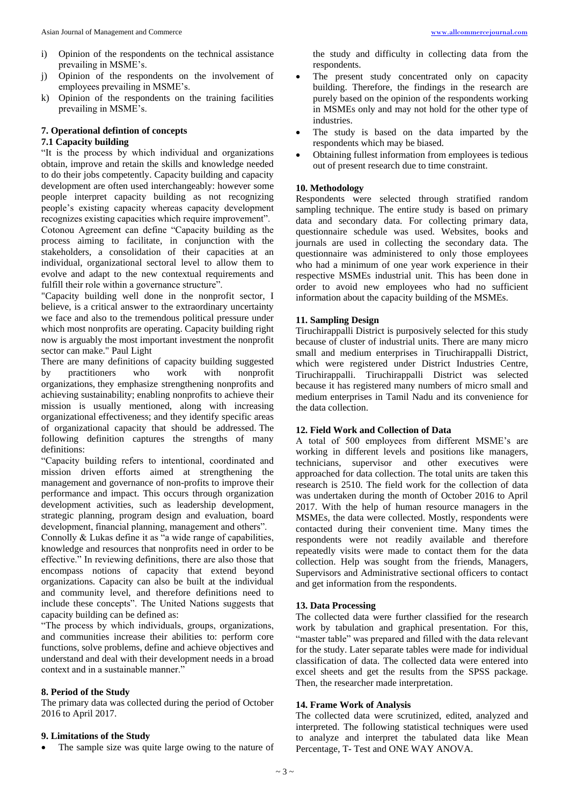- i) Opinion of the respondents on the technical assistance prevailing in MSME's.
- j) Opinion of the respondents on the involvement of employees prevailing in MSME's.
- k) Opinion of the respondents on the training facilities prevailing in MSME's.

# **7. Operational defintion of concepts**

# **7.1 Capacity building**

"It is the process by which individual and organizations obtain, improve and retain the skills and knowledge needed to do their jobs competently. Capacity building and capacity development are often used interchangeably: however some people interpret capacity building as not recognizing people's existing capacity whereas capacity development recognizes existing capacities which require improvement". Cotonou Agreement can define "Capacity building as the process aiming to facilitate, in conjunction with the stakeholders, a consolidation of their capacities at an individual, organizational sectoral level to allow them to evolve and adapt to the new contextual requirements and fulfill their role within a governance structure".

"Capacity building well done in the nonprofit sector, I believe, is a critical answer to the extraordinary uncertainty we face and also to the tremendous political pressure under which most nonprofits are operating. Capacity building right now is arguably the most important investment the nonprofit sector can make." Paul Light

There are many definitions of capacity building suggested by practitioners who work with nonprofit organizations, they emphasize strengthening nonprofits and achieving sustainability; enabling nonprofits to achieve their mission is usually mentioned, along with increasing organizational effectiveness; and they identify specific areas of organizational capacity that should be addressed. The following definition captures the strengths of many definitions:

"Capacity building refers to intentional, coordinated and mission driven efforts aimed at strengthening the management and governance of non-profits to improve their performance and impact. This occurs through organization development activities, such as leadership development, strategic planning, program design and evaluation, board development, financial planning, management and others".

Connolly & Lukas define it as "a wide range of capabilities, knowledge and resources that nonprofits need in order to be effective." In reviewing definitions, there are also those that encompass notions of capacity that extend beyond organizations. Capacity can also be built at the individual and community level, and therefore definitions need to include these concepts". The United Nations suggests that capacity building can be defined as:

"The process by which individuals, groups, organizations, and communities increase their abilities to: perform core functions, solve problems, define and achieve objectives and understand and deal with their development needs in a broad context and in a sustainable manner."

## **8. Period of the Study**

The primary data was collected during the period of October 2016 to April 2017.

## **9. Limitations of the Study**

The sample size was quite large owing to the nature of

the study and difficulty in collecting data from the respondents.

- The present study concentrated only on capacity building. Therefore, the findings in the research are purely based on the opinion of the respondents working in MSMEs only and may not hold for the other type of industries.
- The study is based on the data imparted by the respondents which may be biased.
- Obtaining fullest information from employees is tedious out of present research due to time constraint.

# **10. Methodology**

Respondents were selected through stratified random sampling technique. The entire study is based on primary data and secondary data. For collecting primary data, questionnaire schedule was used. Websites, books and journals are used in collecting the secondary data. The questionnaire was administered to only those employees who had a minimum of one year work experience in their respective MSMEs industrial unit. This has been done in order to avoid new employees who had no sufficient information about the capacity building of the MSMEs.

# **11. Sampling Design**

Tiruchirappalli District is purposively selected for this study because of cluster of industrial units. There are many micro small and medium enterprises in Tiruchirappalli District, which were registered under District Industries Centre, Tiruchirappalli. Tiruchirappalli District was selected because it has registered many numbers of micro small and medium enterprises in Tamil Nadu and its convenience for the data collection.

## **12. Field Work and Collection of Data**

A total of 500 employees from different MSME's are working in different levels and positions like managers, technicians, supervisor and other executives were approached for data collection. The total units are taken this research is 2510. The field work for the collection of data was undertaken during the month of October 2016 to April 2017. With the help of human resource managers in the MSMEs, the data were collected. Mostly, respondents were contacted during their convenient time. Many times the respondents were not readily available and therefore repeatedly visits were made to contact them for the data collection. Help was sought from the friends, Managers, Supervisors and Administrative sectional officers to contact and get information from the respondents.

## **13. Data Processing**

The collected data were further classified for the research work by tabulation and graphical presentation. For this, "master table" was prepared and filled with the data relevant for the study. Later separate tables were made for individual classification of data. The collected data were entered into excel sheets and get the results from the SPSS package. Then, the researcher made interpretation.

# **14. Frame Work of Analysis**

The collected data were scrutinized, edited, analyzed and interpreted. The following statistical techniques were used to analyze and interpret the tabulated data like Mean Percentage, T- Test and ONE WAY ANOVA.